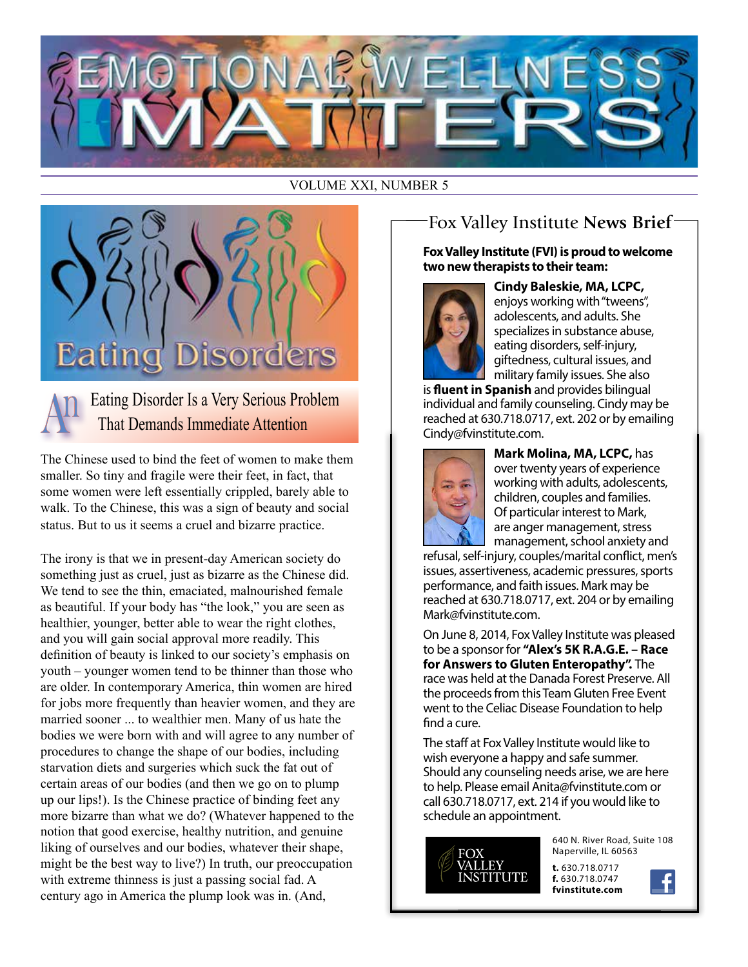

#### VOLUME XXI, NUMBER 5



Eating Disorder Is a Very Serious Problem That Demands Immediate Attention

The Chinese used to bind the feet of women to make them smaller. So tiny and fragile were their feet, in fact, that some women were left essentially crippled, barely able to walk. To the Chinese, this was a sign of beauty and social status. But to us it seems a cruel and bizarre practice.

The irony is that we in present-day American society do something just as cruel, just as bizarre as the Chinese did. We tend to see the thin, emaciated, malnourished female as beautiful. If your body has "the look," you are seen as healthier, younger, better able to wear the right clothes, and you will gain social approval more readily. This definition of beauty is linked to our society's emphasis on youth – younger women tend to be thinner than those who are older. In contemporary America, thin women are hired for jobs more frequently than heavier women, and they are married sooner ... to wealthier men. Many of us hate the bodies we were born with and will agree to any number of procedures to change the shape of our bodies, including starvation diets and surgeries which suck the fat out of certain areas of our bodies (and then we go on to plump up our lips!). Is the Chinese practice of binding feet any more bizarre than what we do? (Whatever happened to the notion that good exercise, healthy nutrition, and genuine liking of ourselves and our bodies, whatever their shape, might be the best way to live?) In truth, our preoccupation with extreme thinness is just a passing social fad. A century ago in America the plump look was in. (And,

## Fox Valley Institute **News Brief**

#### **Fox Valley Institute (FVI) is proud to welcome two new therapists to their team:**



**Cindy Baleskie, MA, LCPC,** enjoys working with "tweens", adolescents, and adults. She specializes in substance abuse, eating disorders, self-injury, giftedness, cultural issues, and military family issues. She also

is **fluent in Spanish** and provides bilingual individual and family counseling. Cindy may be reached at 630.718.0717, ext. 202 or by emailing Cindy@fvinstitute.com.



**Mark Molina, MA, LCPC,** has over twenty years of experience working with adults, adolescents, children, couples and families. Of particular interest to Mark, are anger management, stress management, school anxiety and

refusal, self-injury, couples/marital conflict, men's issues, assertiveness, academic pressures, sports performance, and faith issues. Mark may be reached at 630.718.0717, ext. 204 or by emailing Mark@fvinstitute.com.

On June 8, 2014, Fox Valley Institute was pleased to be a sponsor for **"Alex's 5K R.A.G.E. – Race for Answers to Gluten Enteropathy".** The race was held at the Danada Forest Preserve. All the proceeds from this Team Gluten Free Event went to the Celiac Disease Foundation to help find a cure.

The staff at Fox Valley Institute would like to wish everyone a happy and safe summer. Should any counseling needs arise, we are here to help. Please email Anita@fvinstitute.com or call 630.718.0717, ext. 214 if you would like to schedule an appointment.



640 N. River Road, Suite 108 Naperville, IL 60563

**t.** 630.718.0717 **f.** 630.718.0747 **fvinstitute.com**

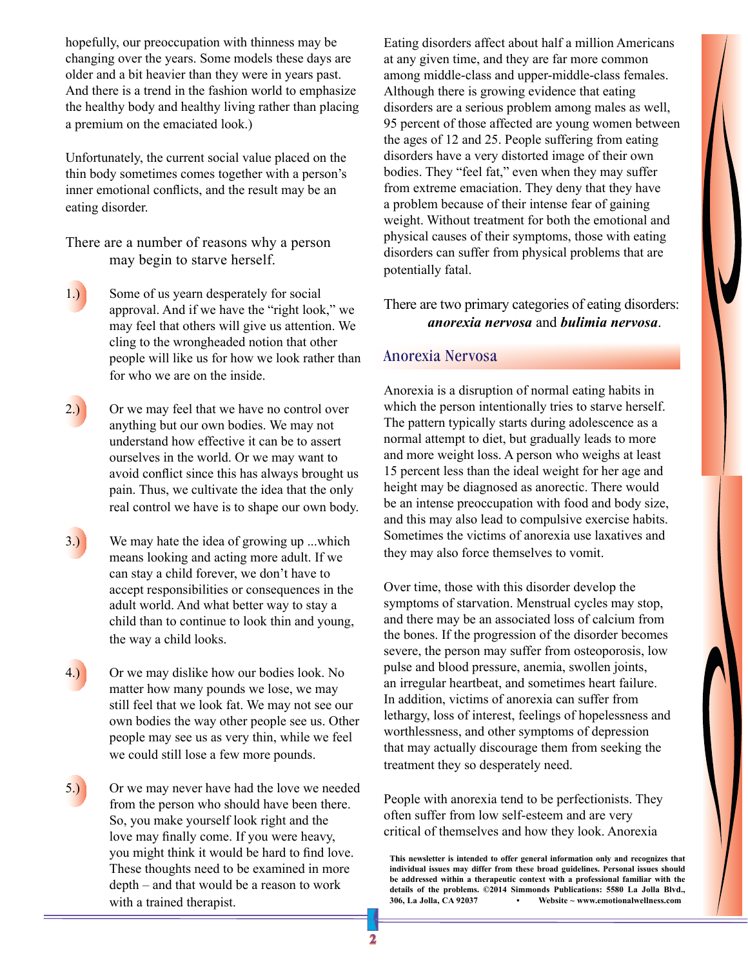hopefully, our preoccupation with thinness may be changing over the years. Some models these days are older and a bit heavier than they were in years past. And there is a trend in the fashion world to emphasize the healthy body and healthy living rather than placing a premium on the emaciated look.)

Unfortunately, the current social value placed on the thin body sometimes comes together with a person's inner emotional conflicts, and the result may be an eating disorder.

There are a number of reasons why a person may begin to starve herself.

- 1.) Some of us yearn desperately for social approval. And if we have the "right look," we may feel that others will give us attention. We cling to the wrongheaded notion that other people will like us for how we look rather than for who we are on the inside.
- 2.) Or we may feel that we have no control over anything but our own bodies. We may not understand how effective it can be to assert ourselves in the world. Or we may want to avoid conflict since this has always brought us pain. Thus, we cultivate the idea that the only real control we have is to shape our own body.
- 3.) We may hate the idea of growing up ...which means looking and acting more adult. If we can stay a child forever, we don't have to accept responsibilities or consequences in the adult world. And what better way to stay a child than to continue to look thin and young, the way a child looks.
	- 4.) Or we may dislike how our bodies look. No matter how many pounds we lose, we may still feel that we look fat. We may not see our own bodies the way other people see us. Other people may see us as very thin, while we feel we could still lose a few more pounds.
- 5.) Or we may never have had the love we needed from the person who should have been there. So, you make yourself look right and the love may finally come. If you were heavy, you might think it would be hard to find love. These thoughts need to be examined in more depth – and that would be a reason to work with a trained therapist.

Eating disorders affect about half a million Americans at any given time, and they are far more common among middle-class and upper-middle-class females. Although there is growing evidence that eating disorders are a serious problem among males as well, 95 percent of those affected are young women between the ages of 12 and 25. People suffering from eating disorders have a very distorted image of their own bodies. They "feel fat," even when they may suffer from extreme emaciation. They deny that they have a problem because of their intense fear of gaining weight. Without treatment for both the emotional and physical causes of their symptoms, those with eating disorders can suffer from physical problems that are potentially fatal.

There are two primary categories of eating disorders: *anorexia nervosa* and *bulimia nervosa*.

#### Anorexia Nervosa

Anorexia is a disruption of normal eating habits in which the person intentionally tries to starve herself. The pattern typically starts during adolescence as a normal attempt to diet, but gradually leads to more and more weight loss. A person who weighs at least 15 percent less than the ideal weight for her age and height may be diagnosed as anorectic. There would be an intense preoccupation with food and body size, and this may also lead to compulsive exercise habits. Sometimes the victims of anorexia use laxatives and they may also force themselves to vomit.

Over time, those with this disorder develop the symptoms of starvation. Menstrual cycles may stop, and there may be an associated loss of calcium from the bones. If the progression of the disorder becomes severe, the person may suffer from osteoporosis, low pulse and blood pressure, anemia, swollen joints, an irregular heartbeat, and sometimes heart failure. In addition, victims of anorexia can suffer from lethargy, loss of interest, feelings of hopelessness and worthlessness, and other symptoms of depression that may actually discourage them from seeking the treatment they so desperately need.

People with anorexia tend to be perfectionists. They often suffer from low self-esteem and are very critical of themselves and how they look. Anorexia

**This newsletter is intended to offer general information only and recognizes that individual issues may differ from these broad guidelines. Personal issues should be addressed within a therapeutic context with a professional familiar with the**  details of the problems. ©2014 Simmonds Publications: 5580 La Jolla Blvd., 306. La Jolla. CA 92037 **·** Website ~ www.emotionalwellness.com **306, La Jolla, CA 92037 • Website ~ www.emotionalwellness.com**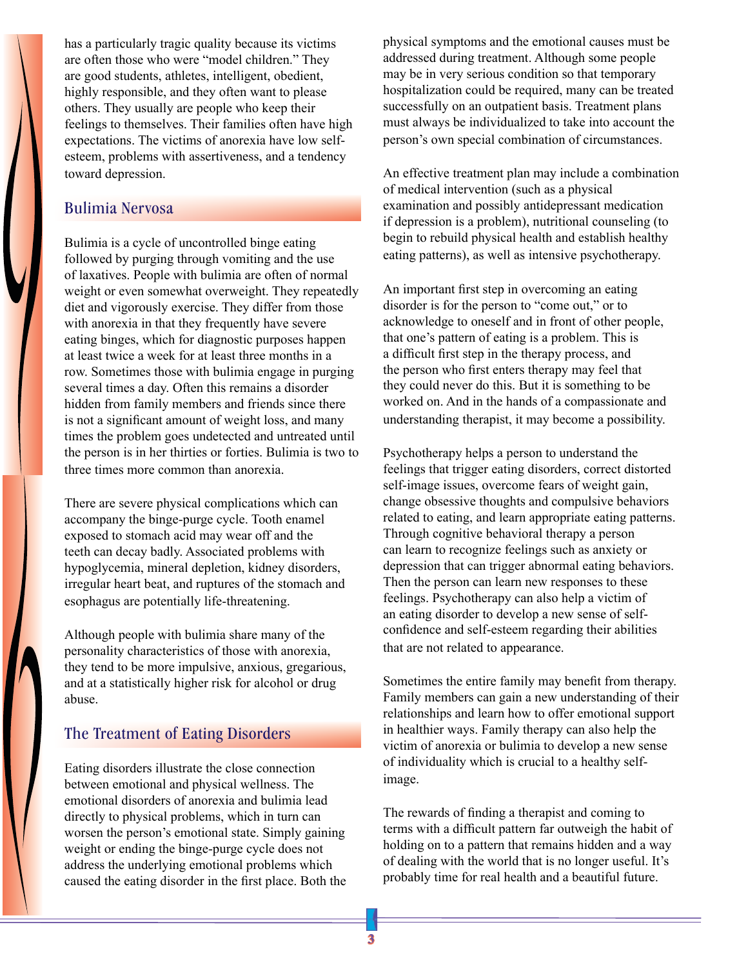has a particularly tragic quality because its victims are often those who were "model children." They are good students, athletes, intelligent, obedient, highly responsible, and they often want to please others. They usually are people who keep their feelings to themselves. Their families often have high expectations. The victims of anorexia have low selfesteem, problems with assertiveness, and a tendency toward depression.

#### Bulimia Nervosa

Bulimia is a cycle of uncontrolled binge eating followed by purging through vomiting and the use of laxatives. People with bulimia are often of normal weight or even somewhat overweight. They repeatedly diet and vigorously exercise. They differ from those with anorexia in that they frequently have severe eating binges, which for diagnostic purposes happen at least twice a week for at least three months in a row. Sometimes those with bulimia engage in purging several times a day. Often this remains a disorder hidden from family members and friends since there is not a significant amount of weight loss, and many times the problem goes undetected and untreated until the person is in her thirties or forties. Bulimia is two to three times more common than anorexia.

There are severe physical complications which can accompany the binge-purge cycle. Tooth enamel exposed to stomach acid may wear off and the teeth can decay badly. Associated problems with hypoglycemia, mineral depletion, kidney disorders, irregular heart beat, and ruptures of the stomach and esophagus are potentially life-threatening.

Although people with bulimia share many of the personality characteristics of those with anorexia, they tend to be more impulsive, anxious, gregarious, and at a statistically higher risk for alcohol or drug abuse.

### The Treatment of Eating Disorders

Eating disorders illustrate the close connection between emotional and physical wellness. The emotional disorders of anorexia and bulimia lead directly to physical problems, which in turn can worsen the person's emotional state. Simply gaining weight or ending the binge-purge cycle does not address the underlying emotional problems which caused the eating disorder in the first place. Both the

physical symptoms and the emotional causes must be addressed during treatment. Although some people may be in very serious condition so that temporary hospitalization could be required, many can be treated successfully on an outpatient basis. Treatment plans must always be individualized to take into account the person's own special combination of circumstances.

An effective treatment plan may include a combination of medical intervention (such as a physical examination and possibly antidepressant medication if depression is a problem), nutritional counseling (to begin to rebuild physical health and establish healthy eating patterns), as well as intensive psychotherapy.

An important first step in overcoming an eating disorder is for the person to "come out," or to acknowledge to oneself and in front of other people, that one's pattern of eating is a problem. This is a difficult first step in the therapy process, and the person who first enters therapy may feel that they could never do this. But it is something to be worked on. And in the hands of a compassionate and understanding therapist, it may become a possibility.

Psychotherapy helps a person to understand the feelings that trigger eating disorders, correct distorted self-image issues, overcome fears of weight gain, change obsessive thoughts and compulsive behaviors related to eating, and learn appropriate eating patterns. Through cognitive behavioral therapy a person can learn to recognize feelings such as anxiety or depression that can trigger abnormal eating behaviors. Then the person can learn new responses to these feelings. Psychotherapy can also help a victim of an eating disorder to develop a new sense of selfconfidence and self-esteem regarding their abilities that are not related to appearance.

Sometimes the entire family may benefit from therapy. Family members can gain a new understanding of their relationships and learn how to offer emotional support in healthier ways. Family therapy can also help the victim of anorexia or bulimia to develop a new sense of individuality which is crucial to a healthy selfimage.

The rewards of finding a therapist and coming to terms with a difficult pattern far outweigh the habit of holding on to a pattern that remains hidden and a way of dealing with the world that is no longer useful. It's probably time for real health and a beautiful future.